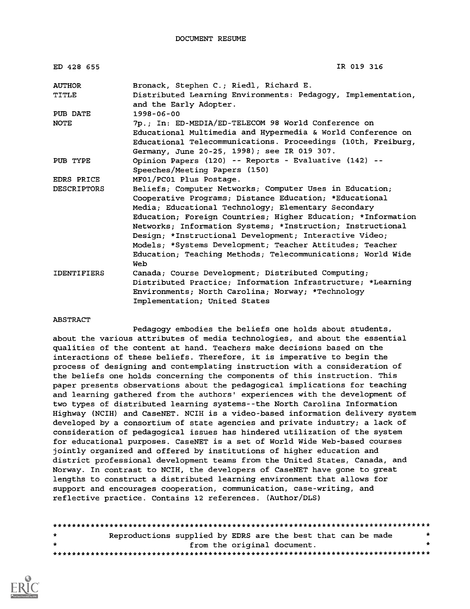DOCUMENT RESUME

| ED 428 655              | IR 019 316                                                                                                                                                                                                                                                                                                                                                                                                                                                                                         |
|-------------------------|----------------------------------------------------------------------------------------------------------------------------------------------------------------------------------------------------------------------------------------------------------------------------------------------------------------------------------------------------------------------------------------------------------------------------------------------------------------------------------------------------|
| <b>AUTHOR</b><br>TITLE  | Bronack, Stephen C.; Riedl, Richard E.<br>Distributed Learning Environments: Pedagogy, Implementation,<br>and the Early Adopter.                                                                                                                                                                                                                                                                                                                                                                   |
| PUB DATE<br><b>NOTE</b> | $1998 - 06 - 00$<br>7p.; In: ED-MEDIA/ED-TELECOM 98 World Conference on<br>Educational Multimedia and Hypermedia & World Conference on<br>Educational Telecommunications. Proceedings (10th, Freiburg,<br>Germany, June 20-25, 1998); see IR 019 307.                                                                                                                                                                                                                                              |
| PUB TYPE                | Opinion Papers (120) -- Reports - Evaluative (142) --<br>Speeches/Meeting Papers (150)                                                                                                                                                                                                                                                                                                                                                                                                             |
| EDRS PRICE              | MF01/PC01 Plus Postage.                                                                                                                                                                                                                                                                                                                                                                                                                                                                            |
| <b>DESCRIPTORS</b>      | Beliefs; Computer Networks; Computer Uses in Education;<br>Cooperative Programs; Distance Education; *Educational<br>Media; Educational Technology; Elementary Secondary<br>Education; Foreign Countries; Higher Education; *Information<br>Networks; Information Systems; *Instruction; Instructional<br>Design; *Instructional Development; Interactive Video;<br>Models; *Systems Development; Teacher Attitudes; Teacher<br>Education; Teaching Methods; Telecommunications; World Wide<br>Web |
| <b>IDENTIFIERS</b>      | Canada; Course Development; Distributed Computing;<br>Distributed Practice: Information Infrastructure: *Learning<br>Environments; North Carolina; Norway; *Technology<br>Implementation; United States                                                                                                                                                                                                                                                                                            |

#### ABSTRACT

Pedagogy embodies the beliefs one holds about students, about the various attributes of media technologies, and about the essential qualities of the content at hand. Teachers make decisions based on the interactions of these beliefs. Therefore, it is imperative to begin the process of designing and contemplating instruction with a consideration of the beliefs one holds concerning the components of this instruction. This paper presents observations about the pedagogical implications for teaching and learning gathered from the authors' experiences with the development of two types of distributed learning systems--the North Carolina Information Highway (NCIH) and CaseNET. NCIH is a video-based information delivery system developed by a consortium of state agencies and private industry; a lack of consideration of pedagogical issues has hindered utilization of the system for educational purposes. CaseNET is a set of World Wide Web-based courses jointly organized and offered by institutions of higher education and district professional development teams from the United States, Canada, and Norway. In contrast to NCIH, the developers of CaseNET have gone to great lengths to construct a distributed learning environment that allows for support and encourages cooperation, communication, case-writing, and reflective practice. Contains 12 references. (Author/DLS)

| $\mathbf{r}$ | Reproductions supplied by EDRS are the best that can be made |  |  |
|--------------|--------------------------------------------------------------|--|--|
| $\bullet$    | from the original document.                                  |  |  |
|              |                                                              |  |  |

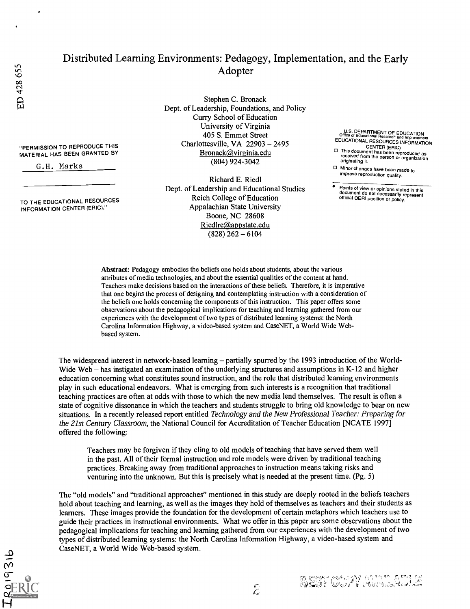"PERMISSION TO REPRODUCE THIS MATERIAL HAS BEEN GRANTED BY

TO THE EDUCATIONAL RESOURCES INFORMATION CENTER (ERIC)."

G.H. Marks

### Distributed Learning Environments: Pedagogy, Implementation, and the Early Adopter

Stephen C. Bronack Dept. of Leadership, Foundations, and Policy Curry School of Education University of Virginia 405 S. Emmet Street Charlottesville, VA  $22903 - 2495$ Bronack@virginia.edu (804) 924-3042

Richard E. Riedl Dept. of Leadership and Educational Studies Reich College of Education Appalachian State University Boone, NC 28608 Riedlre@appstate.edu  $(828)$  262 - 6104

U.S. DEPARTMENT OF EDUCATION<br>
Office of Educational Research and Improvement<br>
EDUCATIONAL RESOURCES INFORMATION<br>
CENTER (ERIC)<br>
This document has been reproduced as<br>
received from the person or organization<br>
originating it

□ Minor changes have been made to improve reproduction quality.

Points of view or opinions stated in this document do not necessarily represent official OERI position or policy.

Abstract: Pedagogy embodies the beliefs one holds about students, about the various attributes of media technologies, and about the essential qualities of the content at hand. Teachers make decisions based on the interactions of these beliefs. Therefore, it is imperative that one begins the process of designing and contemplating instruction with a consideration of the beliefs one holds concerning the components of this instruction. This paper offers some observations about the pedagogical implications for teaching and learning gathered from our experiences with the development of two types of distributed learning systems: the North Carolina Information Highway, a video-based system and CaseNET, a World Wide Webbased system.

The widespread interest in network-based learning – partially spurred by the 1993 introduction of the World-Wide Web – has instigated an examination of the underlying structures and assumptions in K-12 and higher education concerning what constitutes sound instruction, and the role that distributed learning environments play in such educational endeavors. What is emerging from such interests is a recognition that traditional teaching practices are often at odds with those to which the new media lend themselves. The result is often a state of cognitive dissonance in which the teachers and students struggle to bring old knowledge to bear on new situations. In a recently released report entitled Technology and the New Professional Teacher: Preparing for the 21st Century Classroom, the National Council for Accreditation of Teacher Education [NCATE 1997] offered the following:

Teachers may be forgiven if they cling to old models of teaching that have served them well in the past. All of their formal instruction and role models were driven by traditional teaching practices. Breaking away from traditional approaches to instruction means taking risks and venturing into the unknown. But this is precisely what is needed at the present time. (Pg. 5)

The "old models" and "traditional approaches" mentioned in this study are deeply rooted in the beliefs teachers hold about teaching and learning, as well as the images they hold of themselves as teachers and their students as learners. These images provide the foundation for the development of certain metaphors which teachers use to guide their practices in instructional environments. What we offer in this paper are some observations about the pedagogical implications for teaching and learning gathered from our experiences with the development of two types of distributed learning systems: the North Carolina Information Highway, a video-based system and CaseNET, a World Wide Web-based system.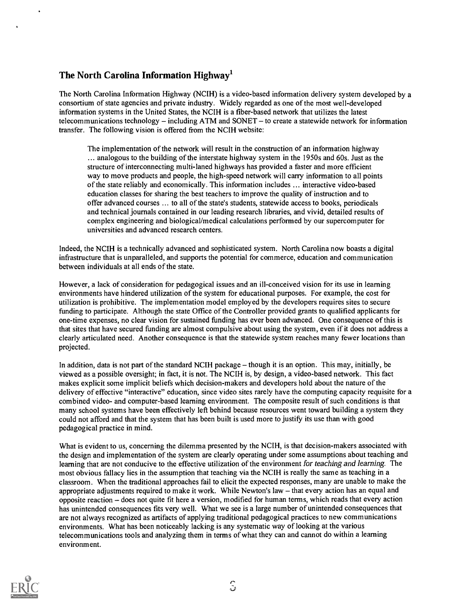#### The North Carolina Information Highway'

The North Carolina Information Highway (NCIH) is a video-based information delivery system developed by a consortium of state agencies and private industry. Widely regarded as one of the most well-developed information systems in the United States, the NCIH is a fiber-based network that utilizes the latest telecommunications technology  $-$  including ATM and SONET  $-$  to create a statewide network for information transfer. The following vision is offered from the NCIH website:

The implementation of the network will result in the construction of an information highway ... analogous to the building of the interstate highway system in the 1950s and 60s. Just as the structure of interconnecting multi-laned highways has provided a faster and more efficient way to move products and people, the high-speed network will carry information to all points of the state reliably and economically. This information includes ... interactive video-based education classes for sharing the best teachers to improve the quality of instruction and to offer advanced courses ... to all of the state's students, statewide access to books, periodicals and technical journals contained in our leading research libraries, and vivid, detailed results of complex engineering and biological/medical calculations performed by our supercomputer for universities and advanced research centers.

Indeed, the NCIH is a technically advanced and sophisticated system. North Carolina now boasts a digital infrastructure that is unparalleled, and supports the potential for commerce, education and communication between individuals at all ends of the state.

However, a lack of consideration for pedagogical issues and an ill-conceived vision for its use in learning environments have hindered utilization of the system for educational purposes. For example, the cost for utilization is prohibitive. The implementation model employed by the developers requires sites to secure funding to participate. Although the state Office of the Controller provided grants to qualified applicants for one-time expenses, no clear vision for sustained funding has ever been advanced. One consequence of this is that sites that have secured funding are almost compulsive about using the system, even if it does not address a clearly articulated need. Another consequence is that the statewide system reaches many fewer locations than projected.

In addition, data is not part of the standard NCIH package  $-$  though it is an option. This may, initially, be viewed as a possible oversight; in fact, it is not. The NCIH is, by design, a video-based network. This fact makes explicit some implicit beliefs which decision-makers and developers hold about the nature of the delivery of effective "interactive" education, since video sites rarely have the computing capacity requisite for a combined video- and computer-based learning environment. The composite result of such conditions is that many school systems have been effectively left behind because resources went toward building a system they could not afford and that the system that has been built is used more to justify its use than with good pedagogical practice in mind.

What is evident to us, concerning the dilemma presented by the NCIH, is that decision-makers associated with the design and implementation of the system are clearly operating under some assumptions about teaching and learning that are not conducive to the effective utilization of the environment for teaching and learning. The most obvious fallacy lies in the assumption that teaching via the NCIH is really the same as teaching in a classroom. When the traditional approaches fail to elicit the expected responses, many are unable to make the appropriate adjustments required to make it work. While Newton's law - that every action has an equal and opposite reaction – does not quite fit here a version, modified for human terms, which reads that every action has unintended consequences fits very well. What we see is a large number of unintended consequences that are not always recognized as artifacts of applying traditional pedagogical practices to new communications environments. What has been noticeably lacking is any systematic way of looking at the various telecommunications tools and analyzing them in terms of what they can and cannot do within a learning environment.

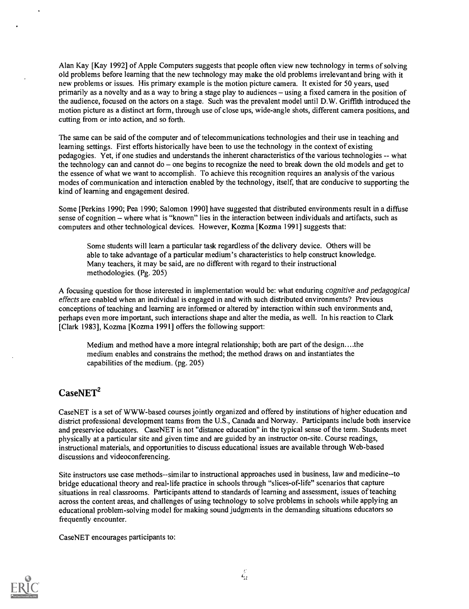Alan Kay [Kay 1992] of Apple Computers suggests that people often view new technology in terms of solving old problems before learning that the new technology may make the old problems irrelevant and bring with it new problems or issues. His primary example is the motion picture camera. It existed for 50 years, used primarily as a novelty and as a way to bring a stage play to audiences – using a fixed camera in the position of the audience, focused on the actors on a stage. Such was the prevalent model until D.W. Griffith introduced the motion picture as a distinct art form, through use of close ups, wide-angle shots, different camera positions, and cutting from or into action, and so forth.

The same can be said of the computer and of telecommunications technologies and their use in teaching and learning settings. First efforts historically have been to use the technology in the context of existing pedagogies. Yet, if one studies and understands the inherent characteristics of the various technologies -- what the technology can and cannot  $do$  – one begins to recognize the need to break down the old models and get to the essence of what we want to accomplish. To achieve this recognition requires an analysis of the various modes of communication and interaction enabled by the technology, itself, that are conducive to supporting the kind of learning and engagement desired.

Some [Perkins 1990; Pea 1990; Salomon 1990] have suggested that distributed environments result in a diffuse sense of cognition – where what is "known" lies in the interaction between individuals and artifacts, such as computers and other technological devices. However, Kozma [Kozma 1991] suggests that:

Some students will learn a particular task regardless of the delivery device. Others will be able to take advantage of a particular medium's characteristics to help construct knowledge. Many teachers, it may be said, are no different with regard to their instructional methodologies. (Pg. 205)

A focusing question for those interested in implementation would be: what enduring cognitive and pedagogical effects are enabled when an individual is engaged in and with such distributed environments? Previous conceptions of teaching and learning are informed or altered by interaction within such environments and, perhaps even more important, such interactions shape and alter the media, as well. In his reaction to Clark [Clark 1983], Kozma [Kozma 1991] offers the following support:

Medium and method have a more integral relationship; both are part of the design....the medium enables and constrains the method; the method draws on and instantiates the capabilities of the medium. (pg. 205)

#### $CaseNET<sup>2</sup>$

CaseNET is a set of WWW-based courses jointly organized and offered by institutions of higher education and district professional development teams from the U.S., Canada and Norway. Participants include both inservice and preservice educators. CaseNET is not "distance education" in the typical sense of the term. Students meet physically at a particular site and given time and are guided by an instructor on-site. Course readings, instructional materials, and opportunities to discuss educational issues are available through Web-based discussions and videoconferencing.

Site instructors use case methods--similar to instructional approaches used in business, law and medicine--to bridge educational theory and real-life practice in schools through "slices-of-life" scenarios that capture situations in real classrooms. Participants attend to standards of learning and assessment, issues of teaching across the content areas, and challenges of using technology to solve problems in schools while applying an educational problem-solving model for making sound judgments in the demanding situations educators so frequently encounter.

CaseNET encourages participants to:

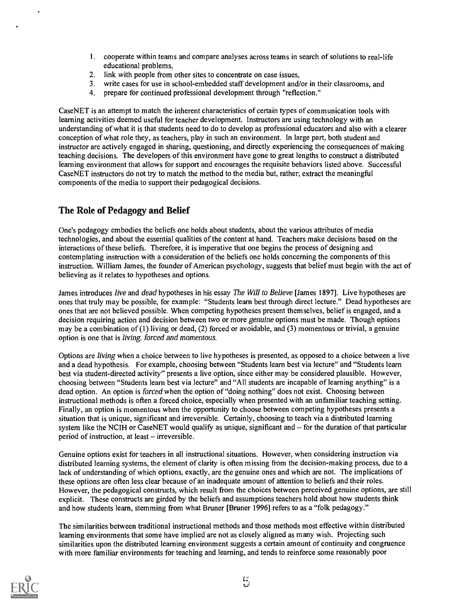- 1. cooperate within teams and compare analyses across teams in search of solutions to real-life educational problems,
- 2. link with people from other sites to concentrate on case issues,
- 3. write cases for use in school-embedded staff development and/or in their classrooms, and
- 4. prepare for continued professional development through "reflection."

CaseNET is an attempt to match the inherent characteristics of certain types of communication tools with learning activities deemed useful for teacher development. Instructors are using technology with an understanding of what it is that students need to do to develop as professional educators and also with a clearer conception of what role they, as teachers, play in such an environment. In large part, both student and instructor are actively engaged in sharing, questioning, and directly experiencing the consequences of making teaching decisions. The developers of this environment have gone to great lengths to construct a distributed learning environment that allows for support and encourages the requisite behaviors listed above. Successful CaseNET instructors do not try to match the method to the media but, rather, extract the meaningful components of the media to support their pedagogical decisions.

#### The Role of Pedagogy and Belief

One's pedagogy embodies the beliefs one holds about students, about the various attributes of media technologies, and about the essential qualities of the content at hand. Teachers make decisions based on the interactions of these beliefs. Therefore, it is imperative that one begins the process of designing and contemplating instruction with a consideration of the beliefs one holds concerning the components of this instruction. William James, the founder of American psychology, suggests that belief must begin with the act of believing as it relates to hypotheses and options.

James introduces live and dead hypotheses in his essay The Will to Believe [James 1897]. Live hypotheses are ones that truly may be possible, for example: "Students learn best through direct lecture." Dead hypotheses are ones that are not believed possible. When competing hypotheses present themselves, belief is engaged, and a decision requiring action and decision between two or more genuine options must be made. Though options may be a combination of (1) living or dead, (2) forced or avoidable, and (3) momentous or trivial, a genuine option is one that is living, forced and momentous.

Options are living when a choice between to live hypotheses is presented, as opposed to a choice between a live and a dead hypothesis. For example, choosing between "Students learn best via lecture" and "Students learn best via student-directed activity" presents a live option, since either may be considered plausible. However, choosing between "Students learn best via lecture" and "All students are incapable of learning anything" is a dead option. An option is forced when the option of "doing nothing" does not exist. Choosing between instructional methods is often a forced choice, especially when presented with an unfamiliar teaching setting. Finally, an option is momentous when the opportunity to choose between competing hypotheses presents a situation that is unique, significant and irreversible. Certainly, choosing to teach via a distributed learning system like the NCIH or CaseNET would qualify as unique, significant and  $-$  for the duration of that particular period of instruction, at least – irreversible.

Genuine options exist for teachers in all instructional situations. However, when considering instruction via distributed learning systems, the element of clarity is often missing from the decision-making process, due to a lack of understanding of which options, exactly, are the genuine ones and which are not. The implications of these options are often less clear because of an inadequate amount of attention to beliefs and their roles. However, the pedagogical constructs, which result from the choices between perceived genuine options, are still explicit. These constructs are girded by the beliefs and assumptions teachers hold about how students think and how students learn, stemming from what Bruner [Bruner 1996] refers to as a "folk pedagogy."

The similarities between traditional instructional methods and those methods most effective within distributed learning environments that some have implied are not as closely aligned as many wish. Projecting such similarities upon the distributed learning environment suggests a certain amount of continuity and congruence with more familiar environments for teaching and learning, and tends to reinforce some reasonably poor

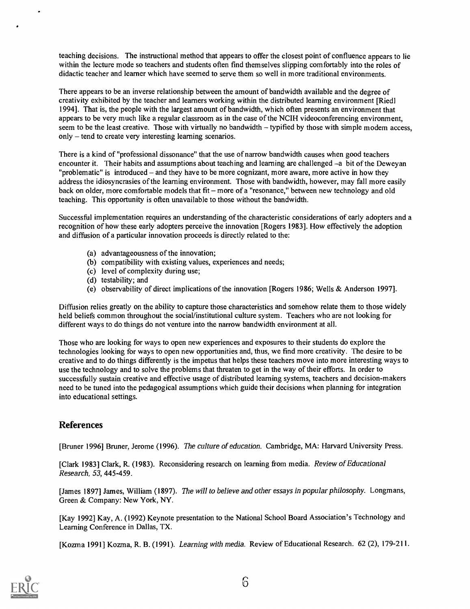teaching decisions. The instructional method that appears to offer the closest point of confluence appears to lie within the lecture mode so teachers and students often find themselves slipping comfortably into the roles of didactic teacher and learner which have seemed to serve them so well in more traditional environments.

There appears to be an inverse relationship between the amount of bandwidth available and the degree of creativity exhibited by the teacher and learners working within the distributed learning environment [Riedl 1994]. That is, the people with the largest amount of bandwidth, which often presents an environment that appears to be very much like a regular classroom as in the case of the NCIH videoconferencing environment, seem to be the least creative. Those with virtually no bandwidth  $-$  typified by those with simple modem access, only – tend to create very interesting learning scenarios.

There is a kind of "professional dissonance" that the use of narrow bandwidth causes when good teachers encounter it. Their habits and assumptions about teaching and learning are challenged -a bit of the Deweyan "problematic" is introduced  $-$  and they have to be more cognizant, more aware, more active in how they address the idiosyncrasies of the learning environment. Those with bandwidth, however, may fall more easily back on older, more comfortable models that fit – more of a "resonance," between new technology and old teaching. This opportunity is often unavailable to those without the bandwidth.

Successful implementation requires an understanding of the characteristic considerations of early adopters and a recognition of how these early adopters perceive the innovation [Rogers 1983]. How effectively the adoption and diffusion of a particular innovation proceeds is directly related to the:

- (a) advantageousness of the innovation;
- (b) compatibility with existing values, experiences and needs;
- (c) level of complexity during use;
- (d) testability; and
- (e) observability of direct implications of the innovation [Rogers 1986; Wells & Anderson 1997].

Diffusion relies greatly on the ability to capture those characteristics and somehow relate them to those widely held beliefs common throughout the social/institutional culture system. Teachers who are not looking for different ways to do things do not venture into the narrow bandwidth environment at all.

Those who are looking for ways to open new experiences and exposures to their students do explore the technologies looking for ways to open new opportunities and, thus, we find more creativity. The desire to be creative and to do things differently is the impetus that helps these teachers move into more interesting ways to use the technology and to solve the problems that threaten to get in the way of their efforts. In order to successfully sustain creative and effective usage of distributed learning systems, teachers and decision-makers need to be tuned into the pedagogical assumptions which guide their decisions when planning for integration into educational settings.

#### References

[Bruner 1996] Bruner, Jerome (1996). The culture of education. Cambridge, MA: Harvard University Press.

[Clark 1983] Clark, R. (1983). Reconsidering research on learning from media. Review of Educational Research, 53, 445-459.

[James 1897] James, William (1897). The will to believe and other essays in popular philosophy. Longmans, Green & Company: New York, NY.

[Kay 19921 Kay, A. (1992) Keynote presentation to the National School Board Association's Technology and Learning Conference in Dallas, TX.

[Kozma 1991] Kozma, R. B. (1991). Learning with media. Review of Educational Research. 62 (2), 179-211.

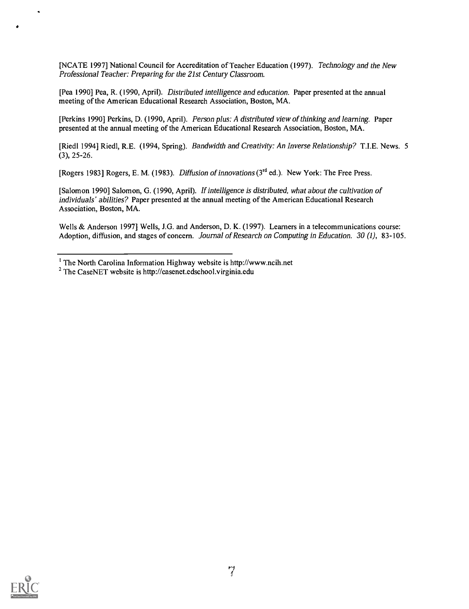[NCATE 1997] National Council for Accreditation of Teacher Education (1997). Technology and the New Professional Teacher: Preparing for the 21st Century Classroom.

[Pea 1990] Pea, R. (1990, April). Distributed intelligence and education. Paper presented at the annual meeting of the American Educational Research Association, Boston, MA.

[Perkins 1990] Perkins, D. (1990, April). Person plus: A distributed view of thinking and learning. Paper presented at the annual meeting of the American Educational Research Association, Boston, MA.

[Riedl 1994] Riedl, R.E. (1994, Spring). Bandwidth and Creativity: An Inverse Relationship? T.I.E. News. 5 (3), 25-26.

[Rogers 1983] Rogers, E. M. (1983). Diffusion of innovations (3<sup>rd</sup> ed.). New York: The Free Press.

[Salomon 1990] Salomon, G. (1990, April). If intelligence is distributed, what about the cultivation of individuals' abilities? Paper presented at the annual meeting of the American Educational Research Association, Boston, MA.

Wells & Anderson 1997] Wells, J.G. and Anderson, D. K. (1997). Learners in a telecommunications course: Adoption, diffusion, and stages of concern. Journal of Research on Computing in Education. 30 (1), 83-105.



 $<sup>1</sup>$  The North Carolina Information Highway website is http://www.ncih.net</sup>

<sup>2</sup> The CaseNET website is http://casenet.edschool.virginia.edu